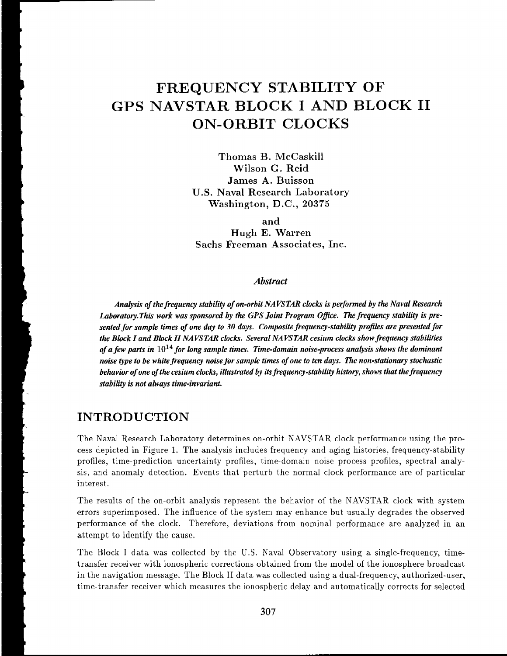# **FREQUENCY STABILITY OF GPS NAVSTAR BLOCK I AND BLOCK I1 ON-ORBIT CLOCKS**

**Thomas B. McCaskill Wilson** *G.* **Reid James A.** Buisson **U.S. Naval Research Laboratory Washington, D.C., 20375** 

**and Hugh E. Warren Sachs fieernan Associates, Inc.** 

#### *Abstract*

*Analysis of the frequency stability of on-orbit NAVSTAR clocks is performed by the Naval Research* Laboratory. This work was sponsored by the GPS Joint Program Office. The frequency stability is pre*sented for sample times of one day to 30 days. Composite frequency-stability profiles are presented for the Block I and Block II NAVSTAR clocks. Several NAVSTAR cesium clocks show frequency stabilities of a few parts in*  $10^{14}$  *for long sample times. Time-domain noise-process analysis shows the dominant noise type to be white frequency noise for sample times of one to ten days. The non-stationary stochastic behavior of one of the cesium clocks, illustrated by* **its** *frequency-stability hktory, shows that thefrequenq stability ts not ahvays time-invanunt.* 

#### **INTRODUCTION**

The Naval Research Laboratory determines on-orbit NAVSTAR clock performance using the process depicted in Figure 1. The analysis includes frequency and aging histories, frequency-stability profiles, time-prediction uncertainty profiles, time-domain noise process profiles, spectral analysis, and anomaly detection. Events that perturb the normal clock performance are of particular interest.

The results of the on-orbit analysis represent the behavior of the NAVSTAR clock with system errors superimposed. The influence of the system may enhance but usually degrades the observed performance of the clock. Therefore, deviations from nominal performance are analyzed in an attempt to identify the cause.

The Block I data was collected by the U.S. Naval Observatory using a single-frequency, timetransfer receiver with ionospheric corrections obtained from the model of the ionosphere broadcast in the navigation message. The Block I1 data was collected using a dual-frequency, authorized-user, timc-transfer rcccivcr which measures the ionospheric delay and automatically corrects for selected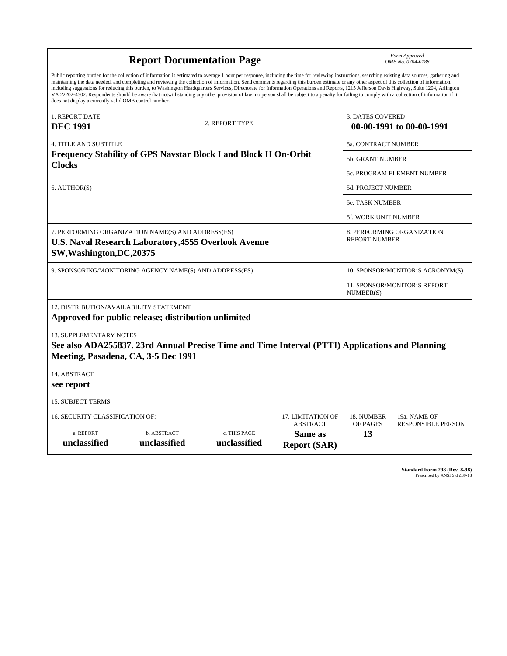| <b>Report Documentation Page</b>                                                                                                               |                                                                                                                                                                                                                                                                                                                                                                                                                                                                                                                                                                                                                                                                                                                                                                                                          |                              |                                                     | Form Approved<br>OMB No. 0704-0188                 |                              |  |  |
|------------------------------------------------------------------------------------------------------------------------------------------------|----------------------------------------------------------------------------------------------------------------------------------------------------------------------------------------------------------------------------------------------------------------------------------------------------------------------------------------------------------------------------------------------------------------------------------------------------------------------------------------------------------------------------------------------------------------------------------------------------------------------------------------------------------------------------------------------------------------------------------------------------------------------------------------------------------|------------------------------|-----------------------------------------------------|----------------------------------------------------|------------------------------|--|--|
| does not display a currently valid OMB control number.                                                                                         | Public reporting burden for the collection of information is estimated to average 1 hour per response, including the time for reviewing instructions, searching existing data sources, gathering and<br>maintaining the data needed, and completing and reviewing the collection of information. Send comments regarding this burden estimate or any other aspect of this collection of information,<br>including suggestions for reducing this burden, to Washington Headquarters Services, Directorate for Information Operations and Reports, 1215 Jefferson Davis Highway, Suite 1204, Arlington<br>VA 22202-4302. Respondents should be aware that notwithstanding any other provision of law, no person shall be subject to a penalty for failing to comply with a collection of information if it |                              |                                                     |                                                    |                              |  |  |
| 1. REPORT DATE<br><b>DEC 1991</b>                                                                                                              |                                                                                                                                                                                                                                                                                                                                                                                                                                                                                                                                                                                                                                                                                                                                                                                                          | 2. REPORT TYPE               | <b>3. DATES COVERED</b><br>00-00-1991 to 00-00-1991 |                                                    |                              |  |  |
| <b>4. TITLE AND SUBTITLE</b>                                                                                                                   |                                                                                                                                                                                                                                                                                                                                                                                                                                                                                                                                                                                                                                                                                                                                                                                                          |                              |                                                     | <b>5a. CONTRACT NUMBER</b>                         |                              |  |  |
| Frequency Stability of GPS Navstar Block I and Block II On-Orbit                                                                               |                                                                                                                                                                                                                                                                                                                                                                                                                                                                                                                                                                                                                                                                                                                                                                                                          |                              |                                                     |                                                    | 5b. GRANT NUMBER             |  |  |
| <b>Clocks</b>                                                                                                                                  |                                                                                                                                                                                                                                                                                                                                                                                                                                                                                                                                                                                                                                                                                                                                                                                                          |                              | 5c. PROGRAM ELEMENT NUMBER                          |                                                    |                              |  |  |
| 6. AUTHOR(S)                                                                                                                                   |                                                                                                                                                                                                                                                                                                                                                                                                                                                                                                                                                                                                                                                                                                                                                                                                          |                              | 5d. PROJECT NUMBER                                  |                                                    |                              |  |  |
|                                                                                                                                                |                                                                                                                                                                                                                                                                                                                                                                                                                                                                                                                                                                                                                                                                                                                                                                                                          |                              |                                                     | <b>5e. TASK NUMBER</b>                             |                              |  |  |
|                                                                                                                                                |                                                                                                                                                                                                                                                                                                                                                                                                                                                                                                                                                                                                                                                                                                                                                                                                          |                              |                                                     | <b>5f. WORK UNIT NUMBER</b>                        |                              |  |  |
| 7. PERFORMING ORGANIZATION NAME(S) AND ADDRESS(ES)<br><b>U.S. Naval Research Laboratory, 4555 Overlook Avenue</b><br>SW, Washington, DC, 20375 |                                                                                                                                                                                                                                                                                                                                                                                                                                                                                                                                                                                                                                                                                                                                                                                                          |                              |                                                     | 8. PERFORMING ORGANIZATION<br><b>REPORT NUMBER</b> |                              |  |  |
| 9. SPONSORING/MONITORING AGENCY NAME(S) AND ADDRESS(ES)                                                                                        |                                                                                                                                                                                                                                                                                                                                                                                                                                                                                                                                                                                                                                                                                                                                                                                                          |                              | 10. SPONSOR/MONITOR'S ACRONYM(S)                    |                                                    |                              |  |  |
|                                                                                                                                                |                                                                                                                                                                                                                                                                                                                                                                                                                                                                                                                                                                                                                                                                                                                                                                                                          |                              |                                                     | NUMBER(S)                                          | 11. SPONSOR/MONITOR'S REPORT |  |  |
| 12. DISTRIBUTION/AVAILABILITY STATEMENT                                                                                                        | Approved for public release; distribution unlimited                                                                                                                                                                                                                                                                                                                                                                                                                                                                                                                                                                                                                                                                                                                                                      |                              |                                                     |                                                    |                              |  |  |
| <b>13. SUPPLEMENTARY NOTES</b><br>Meeting, Pasadena, CA, 3-5 Dec 1991                                                                          | See also ADA255837. 23rd Annual Precise Time and Time Interval (PTTI) Applications and Planning                                                                                                                                                                                                                                                                                                                                                                                                                                                                                                                                                                                                                                                                                                          |                              |                                                     |                                                    |                              |  |  |
| 14. ABSTRACT<br>see report                                                                                                                     |                                                                                                                                                                                                                                                                                                                                                                                                                                                                                                                                                                                                                                                                                                                                                                                                          |                              |                                                     |                                                    |                              |  |  |
| <b>15. SUBJECT TERMS</b>                                                                                                                       |                                                                                                                                                                                                                                                                                                                                                                                                                                                                                                                                                                                                                                                                                                                                                                                                          |                              |                                                     |                                                    |                              |  |  |
| 16. SECURITY CLASSIFICATION OF:                                                                                                                |                                                                                                                                                                                                                                                                                                                                                                                                                                                                                                                                                                                                                                                                                                                                                                                                          |                              | 17. LIMITATION OF                                   | 18. NUMBER                                         | 19a. NAME OF                 |  |  |
| a. REPORT<br>unclassified                                                                                                                      | b. ABSTRACT<br>unclassified                                                                                                                                                                                                                                                                                                                                                                                                                                                                                                                                                                                                                                                                                                                                                                              | c. THIS PAGE<br>unclassified | <b>ABSTRACT</b><br>Same as<br><b>Report (SAR)</b>   | OF PAGES<br>13                                     | <b>RESPONSIBLE PERSON</b>    |  |  |

**Standard Form 298 (Rev. 8-98)**<br>Prescribed by ANSI Std Z39-18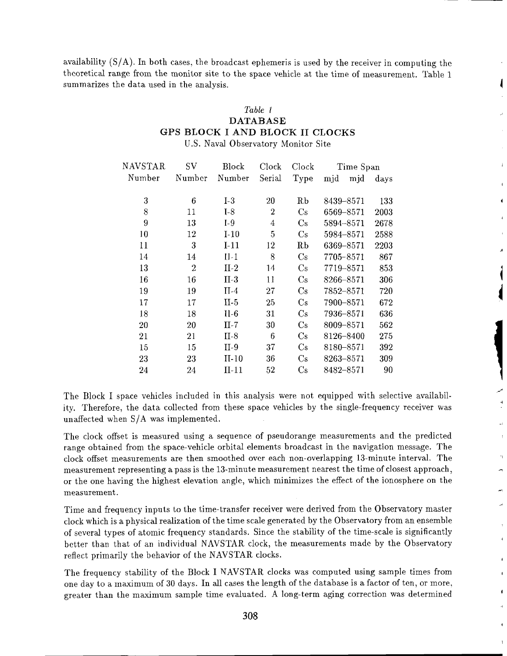availability  $(S/A)$ . In both cases, the broadcast ephemeris is used by the receiver in computing the theoretical range from the monitor site to the space vehicle at the time of measurement. Table 1 summarizes the data used in the analysis.

#### *Table* / **DATABASE GPS BLOCK I AND BLOCK I1** CLOCKS U.S. Naval Observatory Monitor Site

| NAVSTAR | $\mathrm{SV}$ | Block   | Clock          | Clock                  | Time Span  |      |
|---------|---------------|---------|----------------|------------------------|------------|------|
| Number  | Number        | Number  | Serial         | Type                   | mjd<br>mjd | days |
| 3       | 6             | $I-3$   | 20             | Rb                     | 8439-8571  | 133  |
| 8       | 11            | $I-8$   | $\overline{2}$ | $\rm Cs$               | 6569-8571  | 2003 |
| 9       | 13            | $I-9$   | 4              | $\rm Cs$               | 5894-8571  | 2678 |
| 10      | 12            | $I-10$  | 5              | Cs                     | 5984-8571  | 2588 |
| 11      | 3             | $I-11$  | 12             | R <sub>b</sub>         | 6369-8571  | 2203 |
| 14      | 14            | $II-1$  | 8              | $\mathrm{Cs}$          | 7705-8571  | 867  |
| 13      | 2             | $II-2$  | 14             | $\rm Cs$               | 7719-8571  | 853  |
| 16      | 16            | $II-3$  | 11             | $\rm Cs$               | 8266-8571  | 306  |
| 19      | 19            | $II-4$  | $^{27}$        | $\rm Cs$               | 7852-8571  | 720  |
| 17      | 17            | $II-5$  | 25             | $\mathbf{C}\mathbf{s}$ | 7900-8571  | 672  |
| 18      | 18            | II-6    | $31\,$         | $\rm Cs$               | 7936-8571  | 636  |
| 20      | $^{20}$       | $II-7$  | 30             | $\rm Cs$               | 8009-8571  | 562  |
| 21      | 21            | $II-8$  | 6              | $\rm Cs$               | 8126-8400  | 275  |
| 15      | 15            | $II-9$  | 37             | $\rm Cs$               | 8180-8571  | 392  |
| 23      | 23            | $II-10$ | 36             | $\rm Cs$               | 8263-8571  | 309  |
| 24      | 24            | $II-11$ | 52             | $\rm Cs$               | 8482-8571  | 90   |

The Block I space vehicles included in this analysis were not equipped with selective availability. Therefore, the data collected from these space vehicles by the single-frequency receiver was unaffected when S/A was implemented.

The clock offset is measured using a sequence of pseudorange measurements and the predicted range obtained from the space-vehicle orbital elements broadcast in the navigation message. The clock offset measurements are then smoothed over each non-overlapping 13-minute interval. The measurement representing a pass is the 13-minute measurement nearest the time of closest approach, or the one having the highest elevation angle, which minimizes the effect of the ionosphere on the measurement.

Time and frequency inputs to the time-transfer receiver were derived from the Observatory master clock which is a physical realization of the time scale generated by the Observatory from an ensemble of several types of atomic frequency standards. Since the stability of the time-scale is significantly better than that of an individual NAVSTAR clock, the measurements made by the Observatory reflect primarily the behavior of the NAVSTAR clocks.

The frequency stability of the Block I NAVSTAR clocks was computed using sample times from one day to a maximum of 30 days. In all cases the length of the database is a factor of ten, or more, greater than the maximum sample time evaluated. A long-term aging correction was determined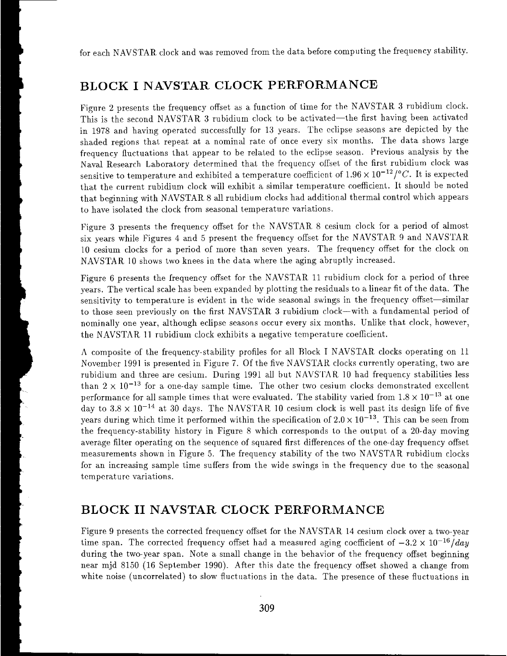for each NAVSTAR clock and was removed from the data before computing the frequency stability.

## **BLOCK I NAVSTAR CLOCK PERFORMANCE**

Figure 2 presents the frequency offset as a function of time for the NAVSTAR 3 rubidium clock. This is the second NAVSTAR 3 rubidium clock to be activated-the first having been activated in 1978 and having operated successfully for 13 years. The eclipse seasons are depicted by the shaded regions that repeat at a nominal rate of once every six months. The data shows large frequency fluctuations that appear to be related to the eclipse season. Previous analysis by the Naval Research Laboratory determined that the frequency offset of the first rubidium clock was sensitive to temperature and exhibited a temperature coefficient of  $1.96 \times 10^{-12}/^{\circ}C$ . It is expected that the current rubidium clock will exhibit a similar temperature coefficient. It should be noted that beginning with NAVSTAR 8 all rubidium clocks had additional thermal control which appears to have isolated the clock from seasonal temperature variations.

Figure **3** presents the frequency ofiset for the NAVSTAR, 8 cesium clock for a period of almost six years while Figures 4 and 5 present the frequency offset for the NAVSTAR 9 and NAVSTAR 10 cesium clocks for a period of more than seven years. The frequency offset for the clock on NAVSTAR **10** shows two knees in the data where the aging abruptly increased.

Figure 6 presents the frequency offset for the NAVSTAR 11 rubidium clock for a period of three vears. The vertical scale has been expanded by plotting the residuals to a linear fit of the data. The sensitivity to temperature is evident in the wide seasonal swings in the frequency offset—similar to those seen previously on the first NAVSTAR 3 rubidium clock---with a fundamental period of nominally one year, although eclipse seasons occur every six months. Unlike that clock, however, the NAVSTAR 11 rubidium clock exhibits a negative temperature coefficient.

A composite of the frequency-stability profiles for all Block I NAVSTAR clocks operating on 11 November **1991** is presented in Figure 7. Of the five NAVSTAK. clocks currently operating, two are rubidium and three are cesium. During 1991 all but NAVSTAR 10 had frequency stabilities less than  $2 \times 10^{-13}$  for a one-day sample time. The other two cesium clocks demonstrated excellent performance for all sample times that were evaluated. The stability varied from  $1.8 \times 10^{-13}$  at one day to  $3.8 \times 10^{-14}$  at 30 days. The NAVSTAR 10 cesium clock is well past its design life of five years during which time it performed within the specification of  $2.0 \times 10^{-13}$ . This can be seen from the frequency-stability history in Figure 8 which corresporids to the output of a 20-day moving average filter operating on the sequence of squared first differences of the one-day frequency ofisset measurements shown in Figure 5. The frequency stability of the two NAVSTAR rubidium clocks for an increasing sample time suffers from the wide swings in the frequency due to the seasonal tcmpcrature variations.

#### **BLOCK I1 NAVSTAR CLOCK PERFORMANCE**

Figure 9 presents the corrected frequency offset for the NAVSTAR 14 cesium clock over a two-year time span. The corrected frequency offset had a measured aging coefficient of  $-3.2 \times 10^{-16}$ /day during the two-year span. Note a small change in the behavior of the frequency offset beginning near mjd 8150 (16 September 1990). After this date the frequency offset showed a change from white noise (uncorrelated) to slow fluctuations in the data. The presence of these fluctuations in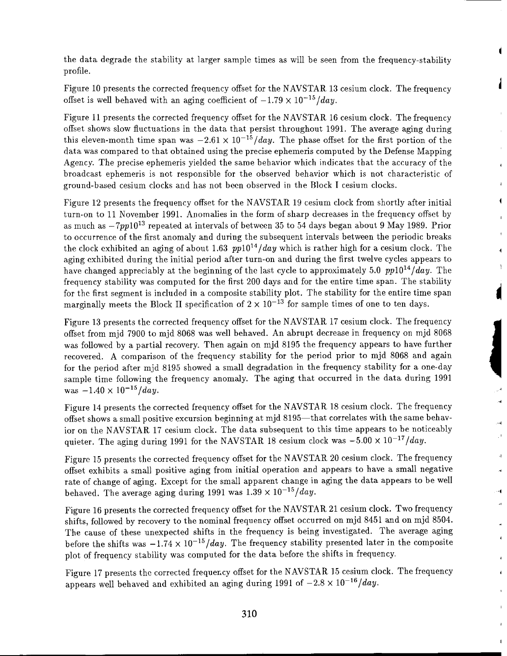the data degrade the stability at larger sample times as will be seen from the frequency-stability profile.

Figure 10 presents the corrected frequency offset for the NAVSTAR, 13 cesium clock. The frequency offset is well behaved with an aging coefficient of  $-1.79 \times 10^{-15}$  /day.

Figure 11 presents the corrected frequency offset for the NAVSTAR 16 cesium clock. The frequency offset shows slow fluctuations in the data that persist throughout 1991. The average aging during this eleven-month time span was  $-2.61 \times 10^{-15}/day$ . The phase offset for the first portion of the data was compared to that obtained using the precise ephemeris computed by the Defense Mapping Agency. The precise ephemeris yielded the same behavior which indicates that the accuracy of the broadcast ephemeris is not responsible for the observed behavior which is not characteristic of ground-based cesium clocks and has not been observed in the Rlock I cesium clocks.

 $\overline{\mathbf{A}}$ 

 $\ddot{\phantom{a}}$ 

 $\mathbf{R}$ 

 $\bar{4}$ 

 $\sim$ 

 $\mathbf{I}$ 

 $\mathbf{I}$ 

Figure 12 presents the frequency offset for the NAVSTAR 19 cesium clock from shortly after initial turn-on to 11 November 1991. Anomalies in the form of sharp decreases in the frequency offset by as much as  $-7ppl0^{13}$  repeated at intervals of between 35 to 54 days began about 9 May 1989. Prior to occurrence of the first anomaly and during the subsequent intervals between the periodic breaks the clock exhibited an aging of about 1.63  $pp10^{14}/day$  which is rather high for a cesium clock. The aging cxhibited during the initial period after turn-on and during the first twelve cycles appears to have changed appreciably at the beginning of the last cycle to approximately 5.0  $pp10^{14}/day$ . The frequency stability was computed for the first 200 days and for the entire time span. The stability for the first segment is included in a composite stability plot. The stability for the entire time span marginally meets the Block II specification of  $2 \times 10^{-13}$  for sample times of one to ten days.

Figure 13 presents the corrected frequency offset for the NAVSTAR 17 cesium clock. The frequency offset from mjd 7900 to mjd 8068 was well behaved. An abrupt decrease in frequency on mjd 8068 was followed by a partial recovery. Then again on mjd 8195 the frequency appears to have further recovered. A comparison of the frequency stability for the period prior to mjd 8068 and again for the period after mjd 8195 showed a small degradation in the frequency stability for a one-day sample time following the frequency anomaly. The aging that occurred in the data during 1991 was  $-1.40 \times 10^{-15}$ /day.

Figure 14 presents the corrected frequency offset for the NAVSTAR 18 cesium clock. The frequency offset shows a small positive excursion beginning at mjd 8195-that correlates with the same behavior on the NAVSTAR 17 cesium clock. The data subsequent to this time appears to be noticeably quieter. The aging during 1991 for the NAVSTAR 18 cesium clock was  $-5.00 \times 10^{-17}/day$ .

Figure 15 presents the corrected frequency offset for the NAVSTAR 20 cesium clock. The frequency offset exhibits a small positive aging from initial operation and appears to have a small negative rate of change of aging. Except for the small apparent change in aging the data appears to be well behaved. The average aging during 1991 was  $1.39 \times 10^{-15}$ /day.

Figure 16 presents the corrected frequency offset for the NAVSTAR 21 cesium clock. Two frequency shifts, followed by recovery to the nominal frequency offset occurred on mjd 8451 and on mjd 8504. The cause of these unexpected shifts in the frequency is being investigated. The average aging before the shifts was  $-1.74 \times 10^{-15}$ /day. The frequency stability presented later in the composite plot of frequency stability was computed for the data before the shifts in frequency.

Figure 17 presents the corrected frequency offset for the NAVSTAR 15 cesium clock. The frequency appears well behaved and exhibited an aging during 1991 of  $-2.8 \times 10^{-16}/day$ .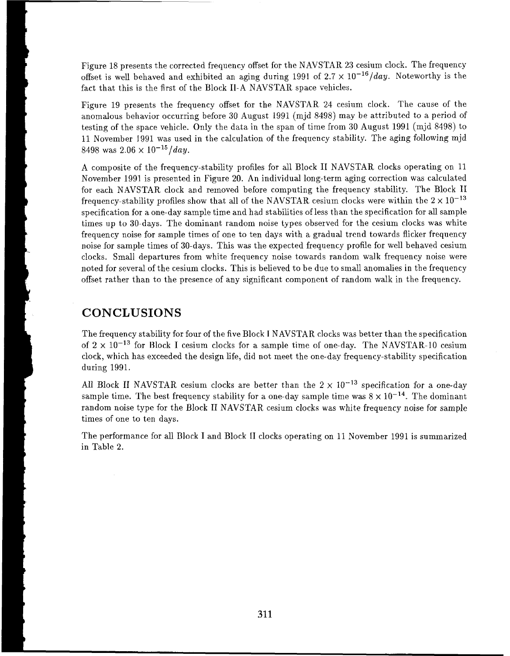Figure 18 presents the corrected frequency offset for the NAVSTAR 23 cesium clock. The frequency offset is well behaved and exhibited an aging during 1991 of  $2.7 \times 10^{-16}/day$ . Noteworthy is the fact that this is the first of the Block 11-A NAVSTAR space vehicles.

Figure 19 presents the frequency offset for the NAVSTAR, 24 cesium clock. The cause of the anomalous behavior occurring before 30 August 1991 (mjd 8498) may be attributed to a period of testing of the space vehicle. Only the data in the span of time from 30 August 1991 (mjd 8498) to 11 November 1991 was used in the calculation of the frequency stability. The aging following mjd 8498 was  $2.06 \times 10^{-15}$ /day.

A composite of the frequency-stability profiles for all Block I1 NAVSTAR clocks operating on 11 November 1991 is presented in Figure 20. An individual long-term aging correction was calculated for each NAVSTAR clock and removed before computing the frequency stability. The Block II frequency-stability profiles show that all of the NAVSTAR cesium clocks were within the  $2 \times 10^{-13}$ specification for a one-day sample time and had stabilities of less than the specification for all sample times up to 30-days. The dominant random noise types observed for the cesium clocks was white frequency noise for sample times of one to ten days with a gradual trend towards flicker frequency noise for sample times of 30-days. This was the expected frequency profile for well behaved cesium clocks. Small departures from white frequency noise towards random walk frequency noise were noted for several of the cesium clocks. This is believed to be due to small anomalies in the frequency ofFset rather than to the presence of any significant componcnt of random walk in the frequency.

#### **CONCLUSIONS**

The frequency stability for four of the five Block I NAVSTAR clocks was better than the specification of  $2 \times 10^{-13}$  for Block I cesium clocks for a sample time of one-day. The NAVSTAR-10 cesium clock, which has exceeded the design life, did not meet the one-day frequency-stability specification during 1991.

All Block II NAVSTAR cesium clocks are better than the  $2 \times 10^{-13}$  specification for a one-day sample time. The best frequency stability for a one-day sample time was  $8 \times 10^{-14}$ . The dominant random noise type for the Block II NAVSTAR cesium clocks was white frequency noise for sample times of one to ten days.

The performance for all Block I and Block II clocks operating on 11 November 1991 is summarized in Table 2.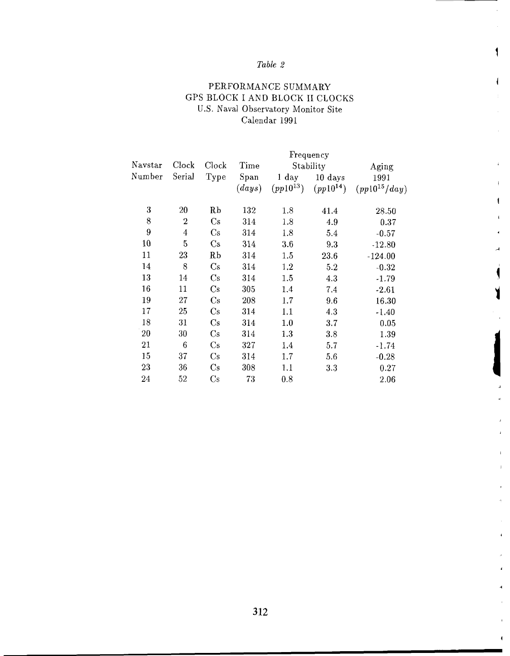### *Table 2*

1

 $\overline{1}$ 

ł.

 $\mathbf{I}$ 

 $\blacksquare$ 

#### PERFORMANCE SUMMARY GPS BLOCK I AND BLOCK I1 CLOCKS U.S. Naval Observatory Monitor Site Calendar 1991

|        |                |               | Frequency  |                |               |                   |  |
|--------|----------------|---------------|------------|----------------|---------------|-------------------|--|
| $N\!$  | Clock          | Clock         | Time       | Stability      |               | Aging             |  |
| Number | Serial         | Type          | Span       | $1\;{\rm day}$ | 10 days       | 1991              |  |
|        |                |               | $\ (days)$ | $(pp10^{13})$  | $(pp10^{14})$ | $(pp10^{15}/day)$ |  |
| 3      | 20             | Rb            | 132        | 1.8            | 41.4          | 28.50             |  |
| 8      | $\overline{2}$ | Cs            | 314        | 1.8            | 4.9           | 0.37              |  |
| 9      | $\overline{4}$ | $\rm Cs$      | 314        | 1.8            | 5.4           | $-0.57$           |  |
| 10     | 5              | $\mathbf{Cs}$ | 314        | $3.6\,$        | 9.3           | $-12.80$          |  |
| 11     | 23             | RЬ            | 314        | 1.5            | 23.6          | $-124.00$         |  |
| 14     | 8              | Cs            | 314        | 1.2            | 5.2           | $-0.32$           |  |
| 13     | 14             | $\rm Cs$      | 314        | 1.5            | 4.3           | $-1.79$           |  |
| 16     | 11             | Cs            | 305        | 1.4            | 7.4           | $-2.61$           |  |
| 19     | 27             | $\rm Cs$      | 208        | 1.7            | 9.6           | 16.30             |  |
| 17     | 25             | $\mathrm{Cs}$ | 314        | 1.1            | 4.3           | $-1.40$           |  |
| 18     | 31             | Cs            | 314        | 1.0            | 3.7           | 0.05              |  |
| 20     | 30             | Cs            | 314        | 1.3            | 3.8           | 1.39              |  |
| 21     | 6              | $\rm Cs$      | 327        | 1.4            | 5.7           | $-1.74$           |  |
| 15     | 37             | Cs            | 314        | 1.7            | 5.6           | $-0.28$           |  |
| 23     | 36             | $\rm Cs$      | 308        | 1.1            | 3.3           | 0.27              |  |
| 24     | 52             | Cs            | 73         | 0.8            |               | 2.06              |  |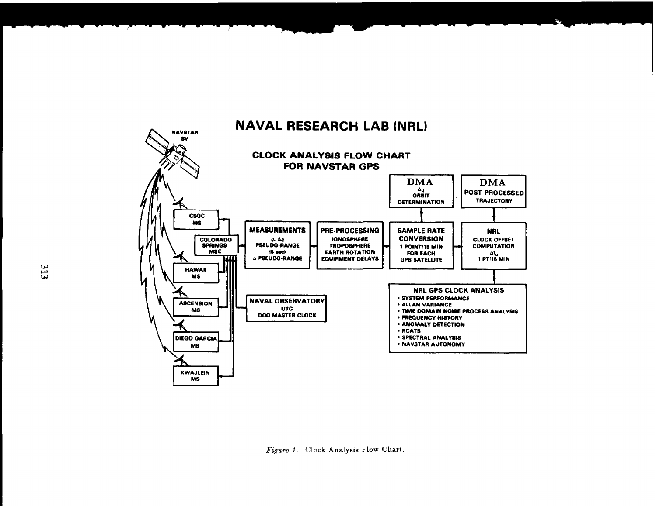

# **NAVAL RESEARCH LAB (NRL)**

Figure 1. Clock Analysis Flow Chart.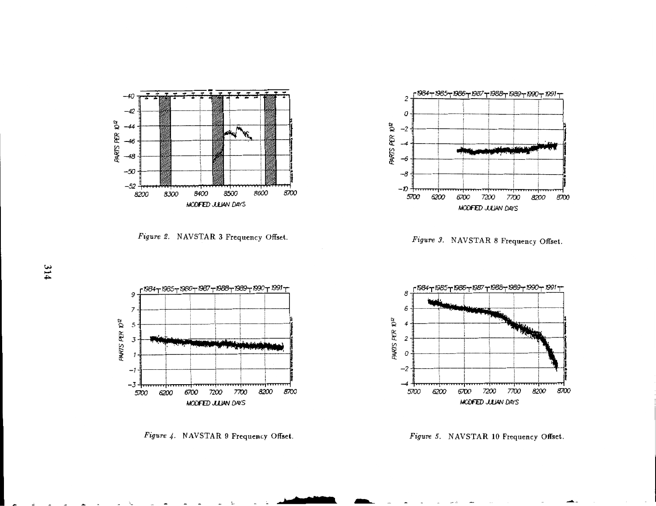

**Figure 2. NAVSTAR 3 Frequency Offset.** 



*Figure 4. NAVSTAR* **9 Frequency Offset.** 



*Fzgure* **9. NAVSTAR** *8* **Frequency Offset.** 



*Figare 5. NAVSTAR* **10 Frequency Offset.**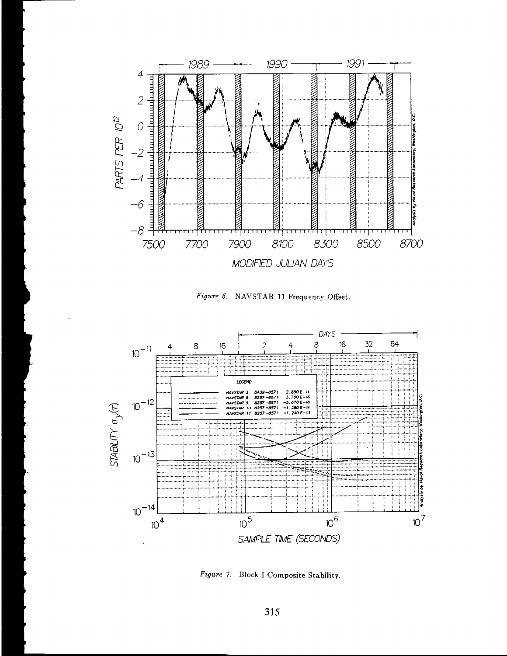

Figure 6. NAVSTAR 11 Frequency Offset.



Figure 7. Block I Composite Stability.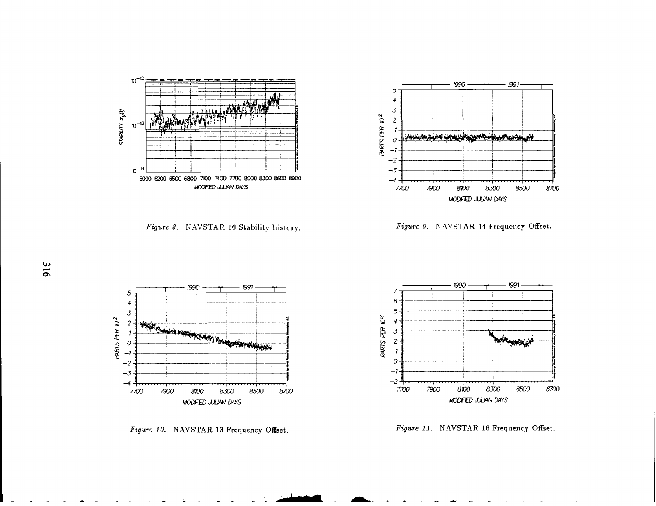

Figure 8. NAVSTAR 10 Stability History.



Figure 9. NAVSTAR 14 Frequency Offset.



Figure 10. NAVSTAR 13 Frequency Offset.



Figure 11. NAVSTAR 16 Frequency Offset.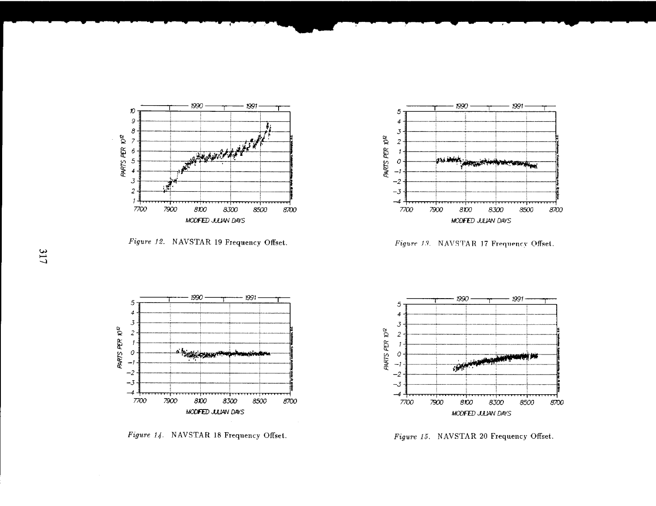

*Figure 12.* **NAVSTAR 19 Frequency Offset.** 



 $Figure 13.$  NAVSTAR 17 Frequency Offset.



*Figure 14.* **NAVSTAR 18 Frequency Offset.** 



*Figvre 15.* **NAVSTAR 20 Frequency Offset..**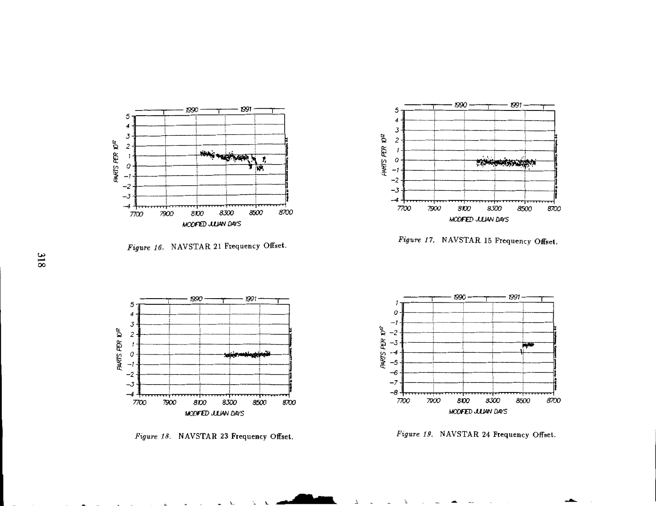

Figure 16. NAVSTAR 21 Frequency Offset.



*Figure 17.* **NAVSTAR 15 Frequency Offset.** 

![](_page_12_Figure_4.jpeg)

*Figure 18.* **NAVSTAR 23 Frequency Offset.** 

![](_page_12_Figure_6.jpeg)

*Figure* **19. NAVSTAR 24 Frequency Offset.** 

J